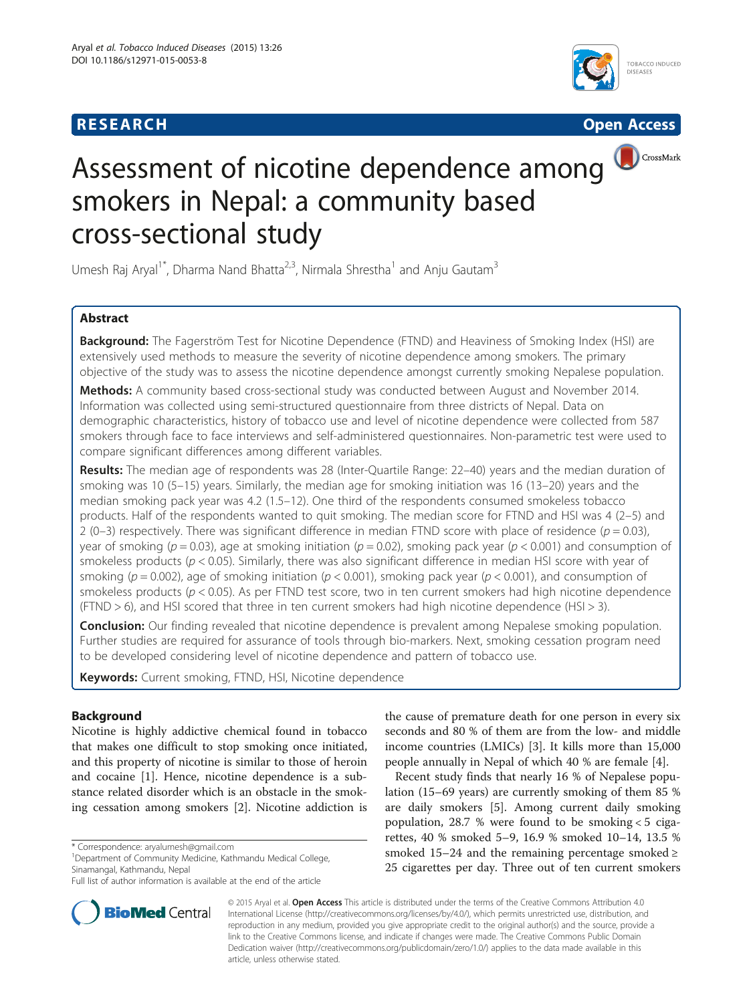# **RESEARCH CHINESE ARCH CHINESE ARCH CHINESE ARCH <b>CHINESE ARCH**





Umesh Raj Aryal<sup>1\*</sup>, Dharma Nand Bhatta<sup>2,3</sup>, Nirmala Shrestha<sup>1</sup> and Anju Gautam<sup>3</sup>

# Abstract

Background: The Fagerström Test for Nicotine Dependence (FTND) and Heaviness of Smoking Index (HSI) are extensively used methods to measure the severity of nicotine dependence among smokers. The primary objective of the study was to assess the nicotine dependence amongst currently smoking Nepalese population.

Methods: A community based cross-sectional study was conducted between August and November 2014. Information was collected using semi-structured questionnaire from three districts of Nepal. Data on demographic characteristics, history of tobacco use and level of nicotine dependence were collected from 587 smokers through face to face interviews and self-administered questionnaires. Non-parametric test were used to compare significant differences among different variables.

Results: The median age of respondents was 28 (Inter-Quartile Range: 22-40) years and the median duration of smoking was 10 (5–15) years. Similarly, the median age for smoking initiation was 16 (13–20) years and the median smoking pack year was 4.2 (1.5–12). One third of the respondents consumed smokeless tobacco products. Half of the respondents wanted to quit smoking. The median score for FTND and HSI was 4 (2–5) and 2 (0–3) respectively. There was significant difference in median FTND score with place of residence ( $p = 0.03$ ), year of smoking ( $p = 0.03$ ), age at smoking initiation ( $p = 0.02$ ), smoking pack year ( $p < 0.001$ ) and consumption of smokeless products ( $p < 0.05$ ). Similarly, there was also significant difference in median HSI score with year of smoking ( $p = 0.002$ ), age of smoking initiation ( $p < 0.001$ ), smoking pack year ( $p < 0.001$ ), and consumption of smokeless products ( $p < 0.05$ ). As per FTND test score, two in ten current smokers had high nicotine dependence (FTND  $>$  6), and HSI scored that three in ten current smokers had high nicotine dependence (HSI  $>$  3).

**Conclusion:** Our finding revealed that nicotine dependence is prevalent among Nepalese smoking population. Further studies are required for assurance of tools through bio-markers. Next, smoking cessation program need to be developed considering level of nicotine dependence and pattern of tobacco use.

Keywords: Current smoking, FTND, HSI, Nicotine dependence

## Background

Nicotine is highly addictive chemical found in tobacco that makes one difficult to stop smoking once initiated, and this property of nicotine is similar to those of heroin and cocaine [[1\]](#page-6-0). Hence, nicotine dependence is a substance related disorder which is an obstacle in the smoking cessation among smokers [\[2](#page-6-0)]. Nicotine addiction is

<sup>1</sup>Department of Community Medicine, Kathmandu Medical College, Sinamangal, Kathmandu, Nepal



Recent study finds that nearly 16 % of Nepalese population (15–69 years) are currently smoking of them 85 % are daily smokers [[5\]](#page-6-0). Among current daily smoking population, 28.7 % were found to be smoking < 5 cigarettes, 40 % smoked 5–9, 16.9 % smoked 10–14, 13.5 % smoked 15–24 and the remaining percentage smoked  $\ge$ 25 cigarettes per day. Three out of ten current smokers



© 2015 Aryal et al. Open Access This article is distributed under the terms of the Creative Commons Attribution 4.0 International License [\(http://creativecommons.org/licenses/by/4.0/\)](http://creativecommons.org/licenses/by/4.0/), which permits unrestricted use, distribution, and reproduction in any medium, provided you give appropriate credit to the original author(s) and the source, provide a link to the Creative Commons license, and indicate if changes were made. The Creative Commons Public Domain Dedication waiver ([http://creativecommons.org/publicdomain/zero/1.0/\)](http://creativecommons.org/publicdomain/zero/1.0/) applies to the data made available in this article, unless otherwise stated.

<sup>\*</sup> Correspondence: [aryalumesh@gmail.com](mailto:aryalumesh@gmail.com) <sup>1</sup>

Full list of author information is available at the end of the article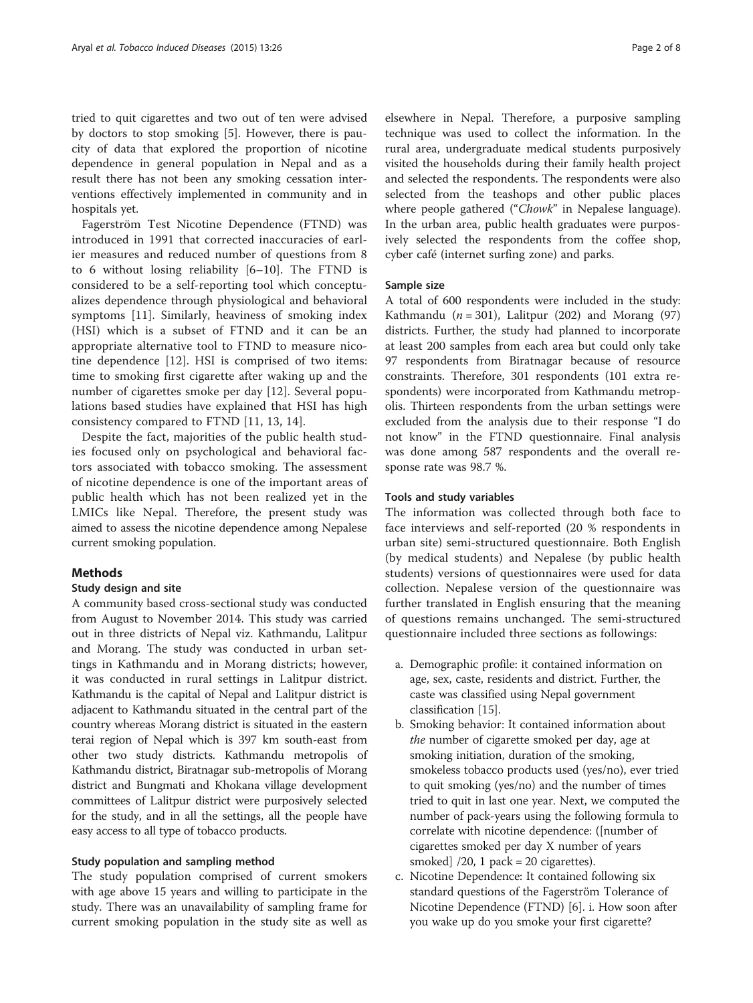tried to quit cigarettes and two out of ten were advised by doctors to stop smoking [\[5](#page-6-0)]. However, there is paucity of data that explored the proportion of nicotine dependence in general population in Nepal and as a result there has not been any smoking cessation interventions effectively implemented in community and in hospitals yet.

Fagerström Test Nicotine Dependence (FTND) was introduced in 1991 that corrected inaccuracies of earlier measures and reduced number of questions from 8 to 6 without losing reliability [\[6](#page-6-0)–[10](#page-6-0)]. The FTND is considered to be a self-reporting tool which conceptualizes dependence through physiological and behavioral symptoms [\[11](#page-6-0)]. Similarly, heaviness of smoking index (HSI) which is a subset of FTND and it can be an appropriate alternative tool to FTND to measure nicotine dependence [\[12](#page-6-0)]. HSI is comprised of two items: time to smoking first cigarette after waking up and the number of cigarettes smoke per day [\[12](#page-6-0)]. Several populations based studies have explained that HSI has high consistency compared to FTND [[11](#page-6-0), [13](#page-6-0), [14](#page-6-0)].

Despite the fact, majorities of the public health studies focused only on psychological and behavioral factors associated with tobacco smoking. The assessment of nicotine dependence is one of the important areas of public health which has not been realized yet in the LMICs like Nepal. Therefore, the present study was aimed to assess the nicotine dependence among Nepalese current smoking population.

### **Methods**

### Study design and site

A community based cross-sectional study was conducted from August to November 2014. This study was carried out in three districts of Nepal viz. Kathmandu, Lalitpur and Morang. The study was conducted in urban settings in Kathmandu and in Morang districts; however, it was conducted in rural settings in Lalitpur district. Kathmandu is the capital of Nepal and Lalitpur district is adjacent to Kathmandu situated in the central part of the country whereas Morang district is situated in the eastern terai region of Nepal which is 397 km south-east from other two study districts. Kathmandu metropolis of Kathmandu district, Biratnagar sub-metropolis of Morang district and Bungmati and Khokana village development committees of Lalitpur district were purposively selected for the study, and in all the settings, all the people have easy access to all type of tobacco products.

### Study population and sampling method

The study population comprised of current smokers with age above 15 years and willing to participate in the study. There was an unavailability of sampling frame for current smoking population in the study site as well as

elsewhere in Nepal. Therefore, a purposive sampling technique was used to collect the information. In the rural area, undergraduate medical students purposively visited the households during their family health project and selected the respondents. The respondents were also selected from the teashops and other public places where people gathered ("Chowk" in Nepalese language). In the urban area, public health graduates were purposively selected the respondents from the coffee shop, cyber café (internet surfing zone) and parks.

### Sample size

A total of 600 respondents were included in the study: Kathmandu ( $n = 301$ ), Lalitpur (202) and Morang (97) districts. Further, the study had planned to incorporate at least 200 samples from each area but could only take 97 respondents from Biratnagar because of resource constraints. Therefore, 301 respondents (101 extra respondents) were incorporated from Kathmandu metropolis. Thirteen respondents from the urban settings were excluded from the analysis due to their response "I do not know" in the FTND questionnaire. Final analysis was done among 587 respondents and the overall response rate was 98.7 %.

#### Tools and study variables

The information was collected through both face to face interviews and self-reported (20 % respondents in urban site) semi-structured questionnaire. Both English (by medical students) and Nepalese (by public health students) versions of questionnaires were used for data collection. Nepalese version of the questionnaire was further translated in English ensuring that the meaning of questions remains unchanged. The semi-structured questionnaire included three sections as followings:

- a. Demographic profile: it contained information on age, sex, caste, residents and district. Further, the caste was classified using Nepal government classification [\[15](#page-6-0)].
- b. Smoking behavior: It contained information about the number of cigarette smoked per day, age at smoking initiation, duration of the smoking, smokeless tobacco products used (yes/no), ever tried to quit smoking (yes/no) and the number of times tried to quit in last one year. Next, we computed the number of pack-years using the following formula to correlate with nicotine dependence: ([number of cigarettes smoked per day X number of years smoked]  $/20$ , 1 pack = 20 cigarettes).
- c. Nicotine Dependence: It contained following six standard questions of the Fagerström Tolerance of Nicotine Dependence (FTND) [[6\]](#page-6-0). i. How soon after you wake up do you smoke your first cigarette?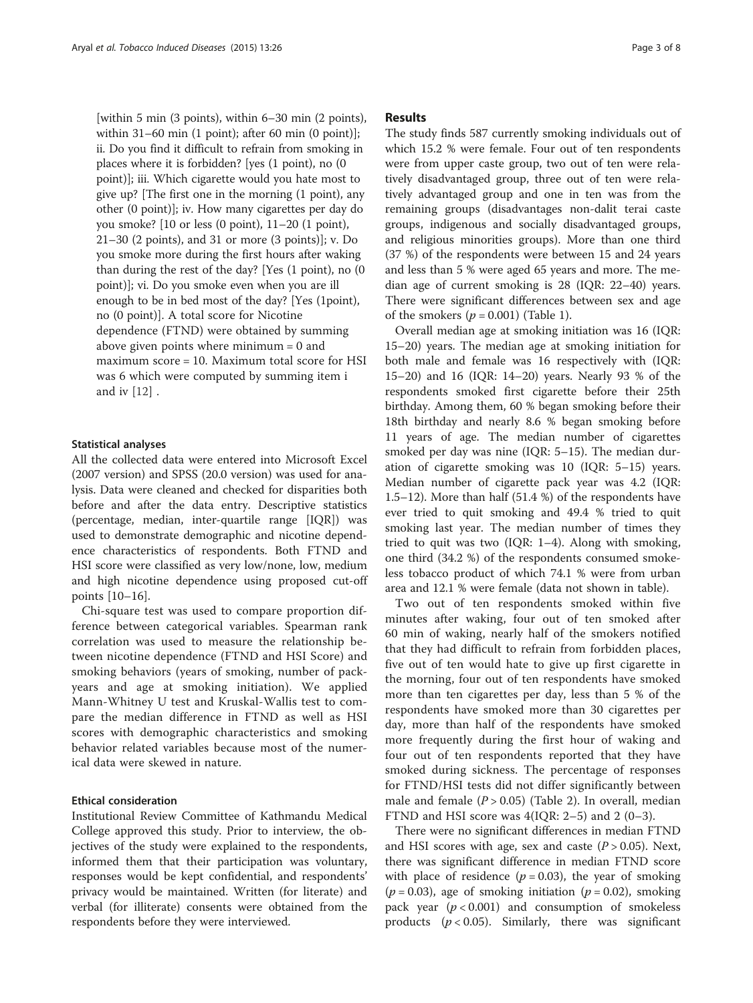[within 5 min (3 points), within 6–30 min (2 points), within 31–60 min (1 point); after 60 min (0 point)]; ii. Do you find it difficult to refrain from smoking in places where it is forbidden? [yes (1 point), no (0 point)]; iii. Which cigarette would you hate most to give up? [The first one in the morning (1 point), any other (0 point)]; iv. How many cigarettes per day do you smoke? [10 or less (0 point), 11–20 (1 point), 21–30 (2 points), and 31 or more (3 points)]; v. Do you smoke more during the first hours after waking than during the rest of the day? [Yes (1 point), no (0 point)]; vi. Do you smoke even when you are ill enough to be in bed most of the day? [Yes (1point), no (0 point)]. A total score for Nicotine dependence (FTND) were obtained by summing above given points where minimum = 0 and maximum score = 10. Maximum total score for HSI was 6 which were computed by summing item i and iv [[12\]](#page-6-0) .

#### Statistical analyses

All the collected data were entered into Microsoft Excel (2007 version) and SPSS (20.0 version) was used for analysis. Data were cleaned and checked for disparities both before and after the data entry. Descriptive statistics (percentage, median, inter-quartile range [IQR]) was used to demonstrate demographic and nicotine dependence characteristics of respondents. Both FTND and HSI score were classified as very low/none, low, medium and high nicotine dependence using proposed cut-off points [\[10](#page-6-0)–[16\]](#page-6-0).

Chi-square test was used to compare proportion difference between categorical variables. Spearman rank correlation was used to measure the relationship between nicotine dependence (FTND and HSI Score) and smoking behaviors (years of smoking, number of packyears and age at smoking initiation). We applied Mann-Whitney U test and Kruskal-Wallis test to compare the median difference in FTND as well as HSI scores with demographic characteristics and smoking behavior related variables because most of the numerical data were skewed in nature.

#### Ethical consideration

Institutional Review Committee of Kathmandu Medical College approved this study. Prior to interview, the objectives of the study were explained to the respondents, informed them that their participation was voluntary, responses would be kept confidential, and respondents' privacy would be maintained. Written (for literate) and verbal (for illiterate) consents were obtained from the respondents before they were interviewed.

#### Results

The study finds 587 currently smoking individuals out of which 15.2 % were female. Four out of ten respondents were from upper caste group, two out of ten were relatively disadvantaged group, three out of ten were relatively advantaged group and one in ten was from the remaining groups (disadvantages non-dalit terai caste groups, indigenous and socially disadvantaged groups, and religious minorities groups). More than one third (37 %) of the respondents were between 15 and 24 years and less than 5 % were aged 65 years and more. The median age of current smoking is 28 (IQR: 22–40) years. There were significant differences between sex and age of the smokers  $(p = 0.001)$  (Table [1](#page-3-0)).

Overall median age at smoking initiation was 16 (IQR: 15–20) years. The median age at smoking initiation for both male and female was 16 respectively with (IQR: 15–20) and 16 (IQR: 14–20) years. Nearly 93 % of the respondents smoked first cigarette before their 25th birthday. Among them, 60 % began smoking before their 18th birthday and nearly 8.6 % began smoking before 11 years of age. The median number of cigarettes smoked per day was nine (IQR: 5–15). The median duration of cigarette smoking was 10 (IQR: 5–15) years. Median number of cigarette pack year was 4.2 (IQR: 1.5–12). More than half (51.4 %) of the respondents have ever tried to quit smoking and 49.4 % tried to quit smoking last year. The median number of times they tried to quit was two (IQR: 1–4). Along with smoking, one third (34.2 %) of the respondents consumed smokeless tobacco product of which 74.1 % were from urban area and 12.1 % were female (data not shown in table).

Two out of ten respondents smoked within five minutes after waking, four out of ten smoked after 60 min of waking, nearly half of the smokers notified that they had difficult to refrain from forbidden places, five out of ten would hate to give up first cigarette in the morning, four out of ten respondents have smoked more than ten cigarettes per day, less than 5 % of the respondents have smoked more than 30 cigarettes per day, more than half of the respondents have smoked more frequently during the first hour of waking and four out of ten respondents reported that they have smoked during sickness. The percentage of responses for FTND/HSI tests did not differ significantly between male and female  $(P > 0.05)$  (Table [2](#page-3-0)). In overall, median FTND and HSI score was  $4(IQR: 2-5)$  and  $2(0-3)$ .

There were no significant differences in median FTND and HSI scores with age, sex and caste  $(P > 0.05)$ . Next, there was significant difference in median FTND score with place of residence ( $p = 0.03$ ), the year of smoking  $(p = 0.03)$ , age of smoking initiation  $(p = 0.02)$ , smoking pack year  $(p < 0.001)$  and consumption of smokeless products  $(p < 0.05)$ . Similarly, there was significant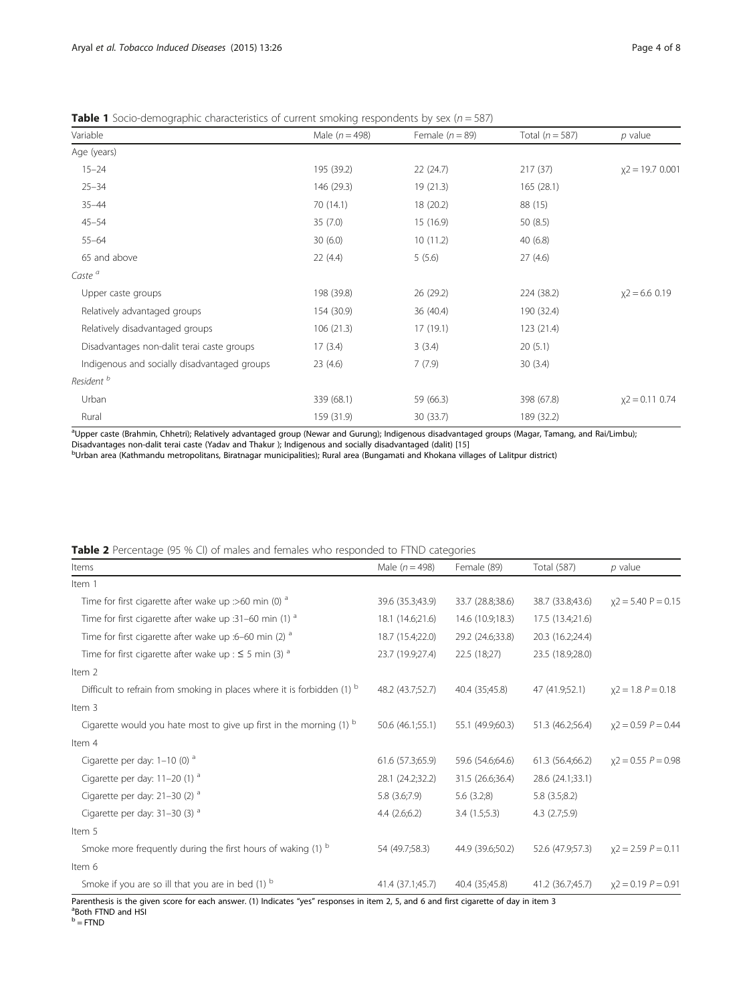<span id="page-3-0"></span>

|  | <b>Table 1</b> Socio-demographic characteristics of current smoking respondents by sex ( $n = 587$ ) |  |  |
|--|------------------------------------------------------------------------------------------------------|--|--|
|--|------------------------------------------------------------------------------------------------------|--|--|

| Variable                                     | Male $(n = 498)$ | Female $(n = 89)$ | Total ( $n = 587$ ) | $p$ value         |
|----------------------------------------------|------------------|-------------------|---------------------|-------------------|
| Age (years)                                  |                  |                   |                     |                   |
| $15 - 24$                                    | 195 (39.2)       | 22 (24.7)         | 217(37)             | $x2 = 19.7 0.001$ |
| $25 - 34$                                    | 146 (29.3)       | 19 (21.3)         | 165(28.1)           |                   |
| $35 - 44$                                    | 70 (14.1)        | 18 (20.2)         | 88 (15)             |                   |
| $45 - 54$                                    | 35(7.0)          | 15 (16.9)         | 50(8.5)             |                   |
| $55 - 64$                                    | 30(6.0)          | 10 (11.2)         | 40(6.8)             |                   |
| 65 and above                                 | 22(4.4)          | 5(5.6)            | 27(4.6)             |                   |
| Caste <sup>a</sup>                           |                  |                   |                     |                   |
| Upper caste groups                           | 198 (39.8)       | 26 (29.2)         | 224 (38.2)          | $x2 = 6.6$ 0.19   |
| Relatively advantaged groups                 | 154 (30.9)       | 36 (40.4)         | 190 (32.4)          |                   |
| Relatively disadvantaged groups              | 106 (21.3)       | 17 (19.1)         | 123 (21.4)          |                   |
| Disadvantages non-dalit terai caste groups   | 17(3.4)          | 3(3.4)            | 20(5.1)             |                   |
| Indigenous and socially disadvantaged groups | 23(4.6)          | 7(7.9)            | 30(3.4)             |                   |
| Resident <sup>b</sup>                        |                  |                   |                     |                   |
| Urban                                        | 339 (68.1)       | 59 (66.3)         | 398 (67.8)          | $x2 = 0.11$ 0.74  |
| Rural                                        | 159 (31.9)       | 30 (33.7)         | 189 (32.2)          |                   |

a<br>Upper caste (Brahmin, Chhetri); Relatively advantaged group (Newar and Gurung); Indigenous disadvantaged groups (Magar, Tamang, and Rai/Limbu) Disadvantages non-dalit terai caste (Yadav and Thakur ); Indigenous and socially disadvantaged (dalit) [\[15](#page-6-0)]<br><sup>b</sup>Urban area (Kathmandu metropolitans, Biratnagar municipalities); Rural area (Bungamati and Khokana villages of

| <b>Table 2</b> Percentage (95 % CI) of males and females who responded to FTND categories |  |  |  |
|-------------------------------------------------------------------------------------------|--|--|--|
|-------------------------------------------------------------------------------------------|--|--|--|

| Items                                                                   | Male ( $n = 498$ ) | Female (89)      | Total (587)       | $p$ value             |
|-------------------------------------------------------------------------|--------------------|------------------|-------------------|-----------------------|
| Item 1                                                                  |                    |                  |                   |                       |
| Time for first cigarette after wake up :>60 min (0) $a$                 | 39.6 (35.3;43.9)   | 33.7 (28.8;38.6) | 38.7 (33.8;43.6)  | $x2 = 5.40$ P = 0.15  |
| Time for first cigarette after wake up :31-60 min (1) $a$               | 18.1 (14.6;21.6)   | 14.6 (10.9;18.3) | 17.5 (13.4;21.6)  |                       |
| Time for first cigarette after wake up :6-60 min (2) $a$                | 18.7 (15.4;22.0)   | 29.2 (24.6;33.8) | 20.3 (16.2;24.4)  |                       |
| Time for first cigarette after wake up : $\leq$ 5 min (3) <sup>a</sup>  | 23.7 (19.9;27.4)   | 22.5 (18;27)     | 23.5 (18.9;28.0)  |                       |
| Item 2                                                                  |                    |                  |                   |                       |
| Difficult to refrain from smoking in places where it is forbidden (1) b | 48.2 (43.7;52.7)   | 40.4 (35;45.8)   | 47 (41.9;52.1)    | $x2 = 1.8 P = 0.18$   |
| Item 3                                                                  |                    |                  |                   |                       |
| Cigarette would you hate most to give up first in the morning $(1)$ b   | 50.6 (46.1;55.1)   | 55.1 (49.9;60.3) | 51.3 (46.2;56.4)  | $x2 = 0.59 P = 0.44$  |
| Item 4                                                                  |                    |                  |                   |                       |
| Cigarette per day: $1-10$ (0) <sup>a</sup>                              | 61.6 (57.3;65.9)   | 59.6 (54.6;64.6) | 61.3 (56.4;66.2)  | $x2 = 0.55 P = 0.98$  |
| Cigarette per day: 11-20 (1) <sup>a</sup>                               | 28.1 (24.2;32.2)   | 31.5 (26.6;36.4) | 28.6 (24.1;33.1)  |                       |
| Cigarette per day: $21-30$ (2) <sup>a</sup>                             | 5.8 (3.6;7.9)      | 5.6(3.2;8)       | 5.8(3.5;8.2)      |                       |
| Cigarette per day: $31-30$ (3) <sup>a</sup>                             | 4.4(2.6;6.2)       | 3.4(1.5;5.3)     | $4.3$ $(2.7;5.9)$ |                       |
| Item 5                                                                  |                    |                  |                   |                       |
| Smoke more frequently during the first hours of waking (1) b            | 54 (49.7;58.3)     | 44.9 (39.6:50.2) | 52.6 (47.9;57.3)  | $x^2 = 2.59 P = 0.11$ |
| Item 6                                                                  |                    |                  |                   |                       |
| Smoke if you are so ill that you are in bed $(1)$ b                     | 41.4 (37.1;45.7)   | 40.4 (35;45.8)   | 41.2 (36.7;45.7)  | $x2 = 0.19 P = 0.91$  |

Parenthesis is the given score for each answer. (1) Indicates "yes" responses in item 2, 5, and 6 and first cigarette of day in item 3 <sup>a</sup>Both FTND and HSI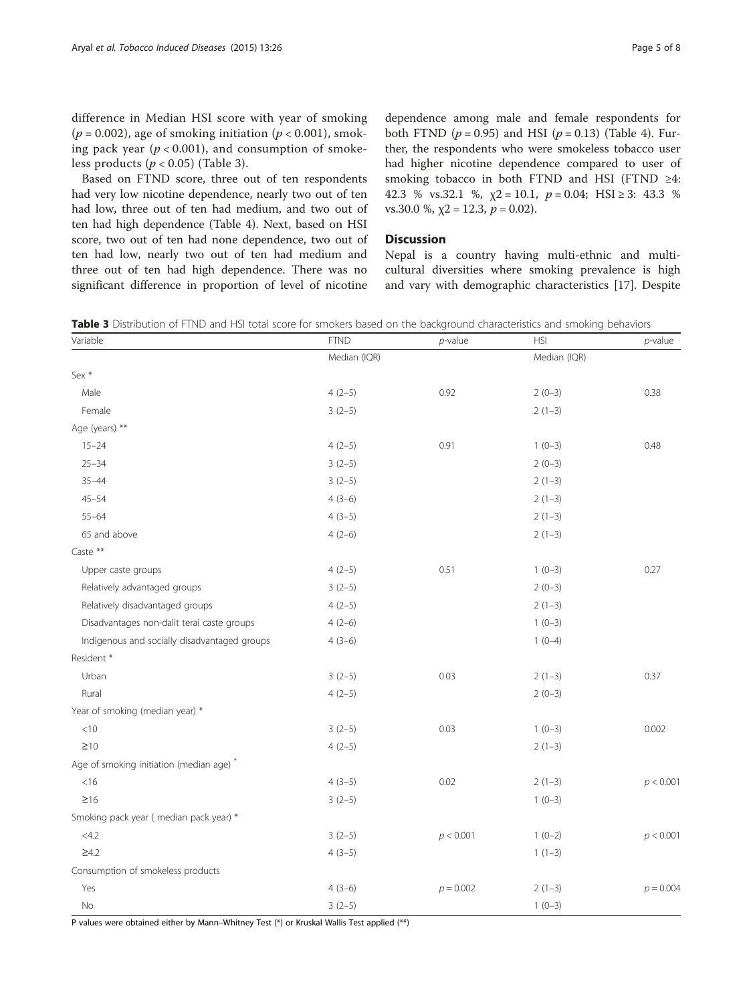difference in Median HSI score with year of smoking ( $p = 0.002$ ), age of smoking initiation ( $p < 0.001$ ), smoking pack year  $(p < 0.001)$ , and consumption of smokeless products ( $p < 0.05$ ) (Table 3).

Based on FTND score, three out of ten respondents had very low nicotine dependence, nearly two out of ten had low, three out of ten had medium, and two out of ten had high dependence (Table [4](#page-5-0)). Next, based on HSI score, two out of ten had none dependence, two out of ten had low, nearly two out of ten had medium and three out of ten had high dependence. There was no significant difference in proportion of level of nicotine

dependence among male and female respondents for both FTND  $(p = 0.95)$  and HSI  $(p = 0.13)$  (Table [4](#page-5-0)). Further, the respondents who were smokeless tobacco user had higher nicotine dependence compared to user of smoking tobacco in both FTND and HSI (FTND  $\geq 4$ : 42.3 % vs.32.1 %,  $\chi$ 2 = 10.1,  $p = 0.04$ ; HSI ≥ 3: 43.3 % vs.30.0 %,  $\chi$ 2 = 12.3,  $p$  = 0.02).

### **Discussion**

Nepal is a country having multi-ethnic and multicultural diversities where smoking prevalence is high and vary with demographic characteristics [[17\]](#page-6-0). Despite

Table 3 Distribution of FTND and HSI total score for smokers based on the background characteristics and smoking behaviors

| Variable                                            | <b>FTND</b>  | $p$ -value  | <b>HSI</b>   | $p$ -value  |
|-----------------------------------------------------|--------------|-------------|--------------|-------------|
|                                                     | Median (IQR) |             | Median (IQR) |             |
| Sex *                                               |              |             |              |             |
| Male                                                | $4(2-5)$     | 0.92        | $2(0-3)$     | 0.38        |
| Female                                              | $3(2-5)$     |             | $2(1-3)$     |             |
| Age (years) **                                      |              |             |              |             |
| $15 - 24$                                           | $4(2-5)$     | 0.91        | $1(0-3)$     | 0.48        |
| $25 - 34$                                           | $3(2-5)$     |             | $2(0-3)$     |             |
| $35 - 44$                                           | $3(2-5)$     |             | $2(1-3)$     |             |
| $45 - 54$                                           | $4(3-6)$     |             | $2(1-3)$     |             |
| $55 - 64$                                           | $4(3-5)$     |             | $2(1-3)$     |             |
| 65 and above                                        | $4(2-6)$     |             | $2(1-3)$     |             |
| Caste **                                            |              |             |              |             |
| Upper caste groups                                  | $4(2-5)$     | 0.51        | $1(0-3)$     | 0.27        |
| Relatively advantaged groups                        | $3(2-5)$     |             | $2(0-3)$     |             |
| Relatively disadvantaged groups                     | $4(2-5)$     |             | $2(1-3)$     |             |
| Disadvantages non-dalit terai caste groups          | $4(2-6)$     |             | $1(0-3)$     |             |
| Indigenous and socially disadvantaged groups        | $4(3-6)$     |             | $1(0-4)$     |             |
| Resident *                                          |              |             |              |             |
| Urban                                               | $3(2-5)$     | 0.03        | $2(1-3)$     | 0.37        |
| Rural                                               | $4(2-5)$     |             | $2(0-3)$     |             |
| Year of smoking (median year) *                     |              |             |              |             |
| < 10                                                | $3(2-5)$     | 0.03        | $1(0-3)$     | 0.002       |
| $\geq 10$                                           | $4(2-5)$     |             | $2(1-3)$     |             |
| Age of smoking initiation (median age) <sup>*</sup> |              |             |              |             |
| $<$ 16                                              | $4(3-5)$     | 0.02        | $2(1-3)$     | p < 0.001   |
| $\geq 16$                                           | $3(2-5)$     |             | $1(0-3)$     |             |
| Smoking pack year (median pack year) *              |              |             |              |             |
| <4.2                                                | $3(2-5)$     | p < 0.001   | $1(0-2)$     | p < 0.001   |
| $\geq 4.2$                                          | $4(3-5)$     |             | $1(1-3)$     |             |
| Consumption of smokeless products                   |              |             |              |             |
| Yes                                                 | $4(3-6)$     | $p = 0.002$ | $2(1-3)$     | $p = 0.004$ |
| No                                                  | $3(2-5)$     |             | $1(0-3)$     |             |

P values were obtained either by Mann–Whitney Test (\*) or Kruskal Wallis Test applied (\*\*)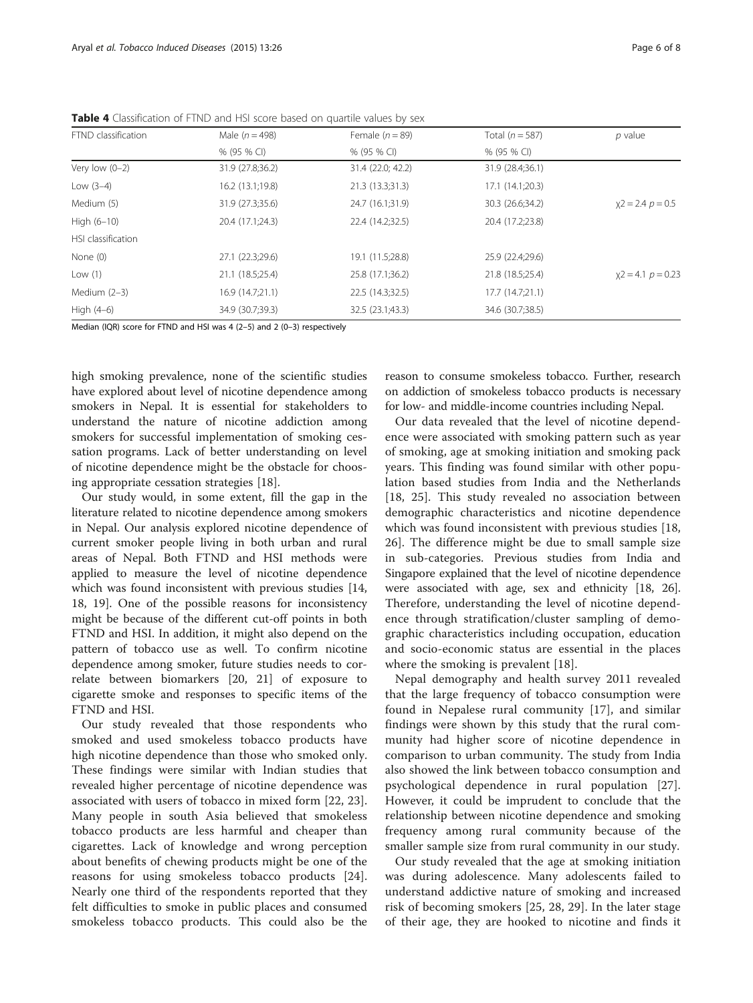| FTND classification | Male $(n = 498)$ | Female $(n = 89)$ | Total $(n = 587)$ | $p$ value              |
|---------------------|------------------|-------------------|-------------------|------------------------|
|                     | % (95 % CI)      | % (95 % CI)       | % (95 % CI)       |                        |
| Very low $(0-2)$    | 31.9 (27.8;36.2) | 31.4 (22.0; 42.2) | 31.9 (28.4;36.1)  |                        |
| Low $(3-4)$         | 16.2 (13.1;19.8) | 21.3 (13.3;31.3)  | 17.1 (14.1;20.3)  |                        |
| Medium (5)          | 31.9 (27.3;35.6) | 24.7 (16.1;31.9)  | 30.3 (26.6;34.2)  | $x^2 = 2.4 p = 0.5$    |
| High $(6-10)$       | 20.4 (17.1;24.3) | 22.4 (14.2;32.5)  | 20.4 (17.2;23.8)  |                        |
| HSI classification  |                  |                   |                   |                        |
| None (0)            | 27.1 (22.3;29.6) | 19.1 (11.5;28.8)  | 25.9 (22.4;29.6)  |                        |
| Low $(1)$           | 21.1 (18.5;25.4) | 25.8 (17.1;36.2)  | 21.8 (18.5;25.4)  | $x^2 = 4.1$ $p = 0.23$ |
| Medium (2-3)        | 16.9 (14.7;21.1) | 22.5 (14.3;32.5)  | 17.7(14.7;21.1)   |                        |
| High (4-6)          | 34.9 (30.7;39.3) | 32.5 (23.1;43.3)  | 34.6 (30.7;38.5)  |                        |

<span id="page-5-0"></span>Table 4 Classification of FTND and HSI score based on quartile values by sex

Median (IQR) score for FTND and HSI was 4 (2–5) and 2 (0–3) respectively

high smoking prevalence, none of the scientific studies have explored about level of nicotine dependence among smokers in Nepal. It is essential for stakeholders to understand the nature of nicotine addiction among smokers for successful implementation of smoking cessation programs. Lack of better understanding on level of nicotine dependence might be the obstacle for choosing appropriate cessation strategies [\[18](#page-7-0)].

Our study would, in some extent, fill the gap in the literature related to nicotine dependence among smokers in Nepal. Our analysis explored nicotine dependence of current smoker people living in both urban and rural areas of Nepal. Both FTND and HSI methods were applied to measure the level of nicotine dependence which was found inconsistent with previous studies [[14](#page-6-0), [18, 19](#page-7-0)]. One of the possible reasons for inconsistency might be because of the different cut-off points in both FTND and HSI. In addition, it might also depend on the pattern of tobacco use as well. To confirm nicotine dependence among smoker, future studies needs to correlate between biomarkers [[20, 21\]](#page-7-0) of exposure to cigarette smoke and responses to specific items of the FTND and HSI.

Our study revealed that those respondents who smoked and used smokeless tobacco products have high nicotine dependence than those who smoked only. These findings were similar with Indian studies that revealed higher percentage of nicotine dependence was associated with users of tobacco in mixed form [[22, 23](#page-7-0)]. Many people in south Asia believed that smokeless tobacco products are less harmful and cheaper than cigarettes. Lack of knowledge and wrong perception about benefits of chewing products might be one of the reasons for using smokeless tobacco products [\[24](#page-7-0)]. Nearly one third of the respondents reported that they felt difficulties to smoke in public places and consumed smokeless tobacco products. This could also be the reason to consume smokeless tobacco. Further, research on addiction of smokeless tobacco products is necessary for low- and middle-income countries including Nepal.

Our data revealed that the level of nicotine dependence were associated with smoking pattern such as year of smoking, age at smoking initiation and smoking pack years. This finding was found similar with other population based studies from India and the Netherlands [[18, 25\]](#page-7-0). This study revealed no association between demographic characteristics and nicotine dependence which was found inconsistent with previous studies [\[18](#page-7-0), [26\]](#page-7-0). The difference might be due to small sample size in sub-categories. Previous studies from India and Singapore explained that the level of nicotine dependence were associated with age, sex and ethnicity [[18](#page-7-0), [26](#page-7-0)]. Therefore, understanding the level of nicotine dependence through stratification/cluster sampling of demographic characteristics including occupation, education and socio-economic status are essential in the places where the smoking is prevalent [\[18](#page-7-0)].

Nepal demography and health survey 2011 revealed that the large frequency of tobacco consumption were found in Nepalese rural community [[17\]](#page-6-0), and similar findings were shown by this study that the rural community had higher score of nicotine dependence in comparison to urban community. The study from India also showed the link between tobacco consumption and psychological dependence in rural population [\[27](#page-7-0)]. However, it could be imprudent to conclude that the relationship between nicotine dependence and smoking frequency among rural community because of the smaller sample size from rural community in our study.

Our study revealed that the age at smoking initiation was during adolescence. Many adolescents failed to understand addictive nature of smoking and increased risk of becoming smokers [[25, 28](#page-7-0), [29](#page-7-0)]. In the later stage of their age, they are hooked to nicotine and finds it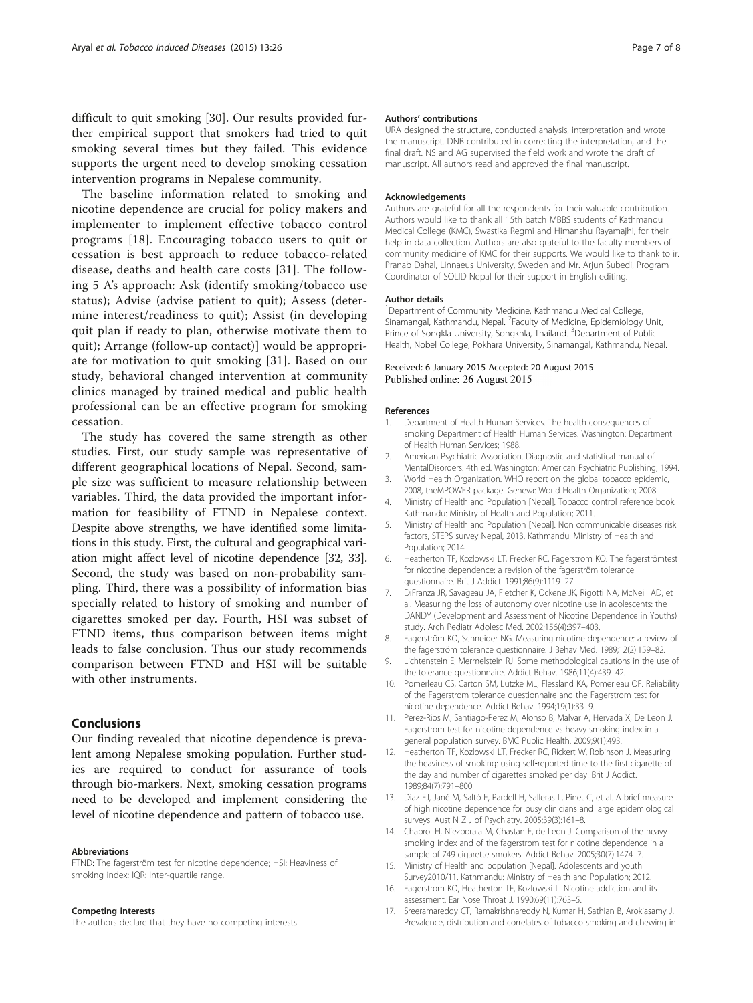<span id="page-6-0"></span>difficult to quit smoking [[30\]](#page-7-0). Our results provided further empirical support that smokers had tried to quit smoking several times but they failed. This evidence supports the urgent need to develop smoking cessation intervention programs in Nepalese community.

The baseline information related to smoking and nicotine dependence are crucial for policy makers and implementer to implement effective tobacco control programs [[18](#page-7-0)]. Encouraging tobacco users to quit or cessation is best approach to reduce tobacco-related disease, deaths and health care costs [\[31](#page-7-0)]. The following 5 A's approach: Ask (identify smoking/tobacco use status); Advise (advise patient to quit); Assess (determine interest/readiness to quit); Assist (in developing quit plan if ready to plan, otherwise motivate them to quit); Arrange (follow-up contact)] would be appropriate for motivation to quit smoking [[31](#page-7-0)]. Based on our study, behavioral changed intervention at community clinics managed by trained medical and public health professional can be an effective program for smoking cessation.

The study has covered the same strength as other studies. First, our study sample was representative of different geographical locations of Nepal. Second, sample size was sufficient to measure relationship between variables. Third, the data provided the important information for feasibility of FTND in Nepalese context. Despite above strengths, we have identified some limitations in this study. First, the cultural and geographical variation might affect level of nicotine dependence [[32](#page-7-0), [33](#page-7-0)]. Second, the study was based on non-probability sampling. Third, there was a possibility of information bias specially related to history of smoking and number of cigarettes smoked per day. Fourth, HSI was subset of FTND items, thus comparison between items might leads to false conclusion. Thus our study recommends comparison between FTND and HSI will be suitable with other instruments.

### Conclusions

Our finding revealed that nicotine dependence is prevalent among Nepalese smoking population. Further studies are required to conduct for assurance of tools through bio-markers. Next, smoking cessation programs need to be developed and implement considering the level of nicotine dependence and pattern of tobacco use.

#### Abbreviations

FTND: The fagerström test for nicotine dependence; HSI: Heaviness of smoking index; IQR: Inter-quartile range.

#### Competing interests

The authors declare that they have no competing interests.

#### Authors' contributions

URA designed the structure, conducted analysis, interpretation and wrote the manuscript. DNB contributed in correcting the interpretation, and the final draft. NS and AG supervised the field work and wrote the draft of manuscript. All authors read and approved the final manuscript.

#### Acknowledgements

Authors are grateful for all the respondents for their valuable contribution. Authors would like to thank all 15th batch MBBS students of Kathmandu Medical College (KMC), Swastika Regmi and Himanshu Rayamajhi, for their help in data collection. Authors are also grateful to the faculty members of community medicine of KMC for their supports. We would like to thank to ir. Pranab Dahal, Linnaeus University, Sweden and Mr. Arjun Subedi, Program Coordinator of SOLID Nepal for their support in English editing.

#### Author details

<sup>1</sup>Department of Community Medicine, Kathmandu Medical College, Sinamangal, Kathmandu, Nepal. <sup>2</sup> Faculty of Medicine, Epidemiology Unit Prince of Songkla University, Songkhla, Thailand. <sup>3</sup>Department of Public Health, Nobel College, Pokhara University, Sinamangal, Kathmandu, Nepal.

#### Received: 6 January 2015 Accepted: 20 August 2015 Published online: 26 August 2015

#### References

- 1. Department of Health Human Services. The health consequences of smoking Department of Health Human Services. Washington: Department of Health Human Services; 1988.
- 2. American Psychiatric Association. Diagnostic and statistical manual of MentalDisorders. 4th ed. Washington: American Psychiatric Publishing; 1994.
- 3. World Health Organization. WHO report on the global tobacco epidemic, 2008, theMPOWER package. Geneva: World Health Organization; 2008.
- 4. Ministry of Health and Population [Nepal]. Tobacco control reference book. Kathmandu: Ministry of Health and Population; 2011.
- 5. Ministry of Health and Population [Nepal]. Non communicable diseases risk factors, STEPS survey Nepal, 2013. Kathmandu: Ministry of Health and Population; 2014.
- 6. Heatherton TF, Kozlowski LT, Frecker RC, Fagerstrom KO. The fagerströmtest for nicotine dependence: a revision of the fagerström tolerance questionnaire. Brit J Addict. 1991;86(9):1119–27.
- 7. DiFranza JR, Savageau JA, Fletcher K, Ockene JK, Rigotti NA, McNeill AD, et al. Measuring the loss of autonomy over nicotine use in adolescents: the DANDY (Development and Assessment of Nicotine Dependence in Youths) study. Arch Pediatr Adolesc Med. 2002;156(4):397–403.
- 8. Fagerström KO, Schneider NG. Measuring nicotine dependence: a review of the fagerström tolerance questionnaire. J Behav Med. 1989;12(2):159–82.
- 9. Lichtenstein E, Mermelstein RJ. Some methodological cautions in the use of the tolerance questionnaire. Addict Behav. 1986;11(4):439–42.
- 10. Pomerleau CS, Carton SM, Lutzke ML, Flessland KA, Pomerleau OF. Reliability of the Fagerstrom tolerance questionnaire and the Fagerstrom test for nicotine dependence. Addict Behav. 1994;19(1):33–9.
- 11. Perez-Rios M, Santiago-Perez M, Alonso B, Malvar A, Hervada X, De Leon J. Fagerstrom test for nicotine dependence vs heavy smoking index in a general population survey. BMC Public Health. 2009;9(1):493.
- 12. Heatherton TF, Kozlowski LT, Frecker RC, Rickert W, Robinson J. Measuring the heaviness of smoking: using self‐reported time to the first cigarette of the day and number of cigarettes smoked per day. Brit J Addict. 1989;84(7):791–800.
- 13. Diaz FJ, Jané M, Saltó E, Pardell H, Salleras L, Pinet C, et al. A brief measure of high nicotine dependence for busy clinicians and large epidemiological surveys. Aust N Z J of Psychiatry. 2005;39(3):161–8.
- 14. Chabrol H, Niezborala M, Chastan E, de Leon J. Comparison of the heavy smoking index and of the fagerstrom test for nicotine dependence in a sample of 749 cigarette smokers. Addict Behav. 2005;30(7):1474–7.
- 15. Ministry of Health and population [Nepal]. Adolescents and youth Survey2010/11. Kathmandu: Ministry of Health and Population; 2012.
- 16. Fagerstrom KO, Heatherton TF, Kozlowski L. Nicotine addiction and its assessment. Ear Nose Throat J. 1990;69(11):763–5.
- 17. Sreeramareddy CT, Ramakrishnareddy N, Kumar H, Sathian B, Arokiasamy J. Prevalence, distribution and correlates of tobacco smoking and chewing in